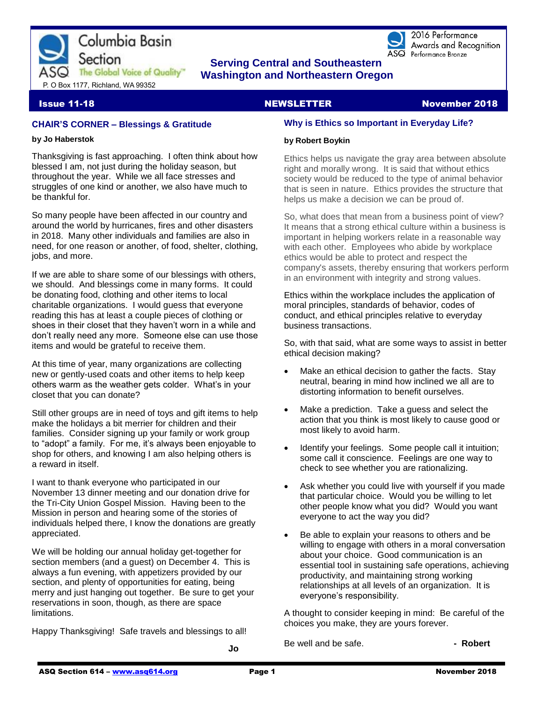

 **CHE SERVING CENTRAL SERVING CONTROLS SERVING CONTRACT THE Global Voice of Quality <b>CHE MORGET** MANAGEMENT OF CASH  **Washington and Northeastern Oregon** 

2016 Performance Awards and Recognition ASQ Performance Bronze

# **Issue 11-18** NewsLETTER NEWSLETTER November 2018

#### **CHAIR'S CORNER – Blessings & Gratitude**

#### **by Jo Haberstok**

Thanksgiving is fast approaching. I often think about how blessed I am, not just during the holiday season, but throughout the year. While we all face stresses and struggles of one kind or another, we also have much to be thankful for.

So many people have been affected in our country and around the world by hurricanes, fires and other disasters in 2018. Many other individuals and families are also in need, for one reason or another, of food, shelter, clothing, jobs, and more.

If we are able to share some of our blessings with others, we should. And blessings come in many forms. It could be donating food, clothing and other items to local charitable organizations. I would guess that everyone reading this has at least a couple pieces of clothing or shoes in their closet that they haven't worn in a while and don't really need any more. Someone else can use those items and would be grateful to receive them.

At this time of year, many organizations are collecting new or gently-used coats and other items to help keep others warm as the weather gets colder. What's in your closet that you can donate?

Still other groups are in need of toys and gift items to help make the holidays a bit merrier for children and their families. Consider signing up your family or work group to "adopt" a family. For me, it's always been enjoyable to shop for others, and knowing I am also helping others is a reward in itself.

I want to thank everyone who participated in our November 13 dinner meeting and our donation drive for the Tri-City Union Gospel Mission. Having been to the Mission in person and hearing some of the stories of individuals helped there, I know the donations are greatly appreciated.

We will be holding our annual holiday get-together for section members (and a guest) on December 4. This is always a fun evening, with appetizers provided by our section, and plenty of opportunities for eating, being merry and just hanging out together. Be sure to get your reservations in soon, though, as there are space limitations.

Happy Thanksgiving! Safe travels and blessings to all!

## **Why is Ethics so Important in Everyday Life?**

#### **by Robert Boykin**

Ethics helps us navigate the gray area between absolute right and morally wrong. It is said that without ethics society would be reduced to the type of animal behavior that is seen in nature. Ethics provides the structure that helps us make a decision we can be proud of.

So, what does that mean from a business point of view? It means that a strong ethical culture within a business is important in helping workers relate in a reasonable way with each other. Employees who abide by workplace ethics would be able to protect and respect the company's assets, thereby ensuring that workers perform in an environment with integrity and strong values.

Ethics within the workplace includes the application of moral principles, standards of behavior, codes of conduct, and ethical principles relative to everyday business transactions.

So, with that said, what are some ways to assist in better ethical decision making?

- Make an ethical decision to gather the facts. Stay neutral, bearing in mind how inclined we all are to distorting information to benefit ourselves.
- Make a prediction. Take a guess and select the action that you think is most likely to cause good or most likely to avoid harm.
- Identify your feelings. Some people call it intuition; some call it conscience. Feelings are one way to check to see whether you are rationalizing.
- Ask whether you could live with yourself if you made that particular choice. Would you be willing to let other people know what you did? Would you want everyone to act the way you did?
- Be able to explain your reasons to others and be willing to engage with others in a moral conversation about your choice. Good communication is an essential tool in sustaining safe operations, achieving productivity, and maintaining strong working relationships at all levels of an organization. It is everyone's responsibility.

A thought to consider keeping in mind: Be careful of the choices you make, they are yours forever.

| Be well and be safe. |  | - Robert |
|----------------------|--|----------|
|                      |  |          |

 **Jo**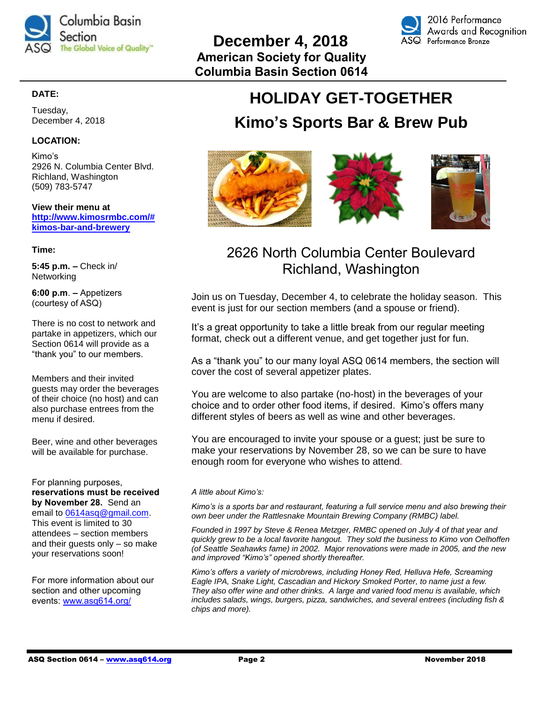



# **HOLIDAY GET-TOGETHER**

# **Kimo's Sports Bar & Brew Pub**



# 2626 North Columbia Center Boulevard Richland, Washington

Join us on Tuesday, December 4, to celebrate the holiday season. This event is just for our section members (and a spouse or friend).

It's a great opportunity to take a little break from our regular meeting format, check out a different venue, and get together just for fun.

As a "thank you" to our many loyal ASQ 0614 members, the section will cover the cost of several appetizer plates.

You are welcome to also partake (no-host) in the beverages of your choice and to order other food items, if desired. Kimo's offers many different styles of beers as well as wine and other beverages.

You are encouraged to invite your spouse or a guest; just be sure to make your reservations by November 28, so we can be sure to have enough room for everyone who wishes to attend.

#### *A little about Kimo's:*

*Kimo's is a sports bar and restaurant, featuring a full service menu and also brewing their own beer under the Rattlesnake Mountain Brewing Company (RMBC) label.* 

*Founded in 1997 by Steve & Renea Metzger, RMBC opened on July 4 of that year and quickly grew to be a local favorite hangout. They sold the business to Kimo von Oelhoffen (of Seattle Seahawks fame) in 2002. Major renovations were made in 2005, and the new and improved "Kimo's" opened shortly thereafter.* 

*Kimo's offers a variety of microbrews, including Honey Red, Helluva Hefe, Screaming Eagle IPA, Snake Light, Cascadian and Hickory Smoked Porter, to name just a few. They also offer wine and other drinks. A large and varied food menu is available, which includes salads, wings, burgers, pizza, sandwiches, and several entrees (including fish & chips and more).*

# **DATE:**

Tuesday, December 4, 2018

# **LOCATION:**

Kimo's 2926 N. Columbia Center Blvd. Richland, Washington (509) 783-5747

**View their menu at [http://www.kimosrmbc.com/#](http://www.kimosrmbc.com/#kimos-bar-and-brewery) [kimos-bar-and-brewery](http://www.kimosrmbc.com/#kimos-bar-and-brewery)**

**Time:**

**5:45 p.m. –** Check in/ Networking

**6:00 p.m**. **–** Appetizers (courtesy of ASQ)

There is no cost to network and partake in appetizers, which our Section 0614 will provide as a "thank you" to our members.

Members and their invited guests may order the beverages of their choice (no host) and can also purchase entrees from the menu if desired.

Beer, wine and other beverages will be available for purchase.

For planning purposes, **reservations must be received by November 28.** Send an email to [0614asq@gmail.com.](mailto:0614asq@gmail.com) This event is limited to 30 attendees – section members and their guests only – so make your reservations soon!

For more information about our section and other upcoming events: [www.asq614.org/](http://www.asq614.org/)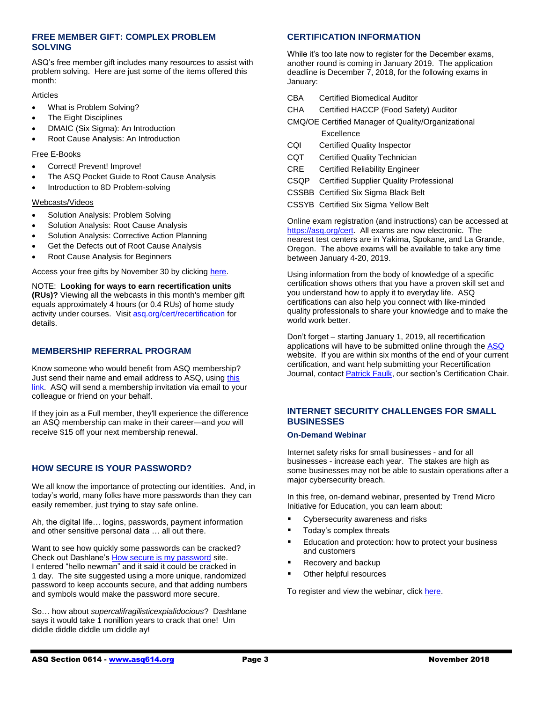#### **FREE MEMBER GIFT: COMPLEX PROBLEM SOLVING**

ASQ's free member gift includes many resources to assist with problem solving. Here are just some of the items offered this month:

#### Articles

- What is Problem Solving?
- The Eight Disciplines
- DMAIC (Six Sigma): An Introduction
- Root Cause Analysis: An Introduction

#### Free E-Books

- Correct! Prevent! Improve!
- The ASQ Pocket Guide to Root Cause Analysis
- Introduction to 8D Problem-solving

#### Webcasts/Videos

- Solution Analysis: Problem Solving
- Solution Analysis: Root Cause Analysis
- Solution Analysis: Corrective Action Planning
- Get the Defects out of Root Cause Analysis
- Root Cause Analysis for Beginners

Access your free gifts by November 30 by clicking [here.](http://asq.org/membership/members/gift/?utm_source=email)

NOTE: **Looking for ways to earn recertification units (RUs)?** Viewing all the webcasts in this month's member gift equals approximately 4 hours (or 0.4 RUs) of home study activity under courses. Visit [asq.org/cert/recertification](http://send.asq.org/link.cfm?r=O4fm4FESIoti18Gkq1PUMw~~&pe=yrYTpewpkXVwCrU6EiLNsCz375Kr6Mxmj8_kI_zY__hoV8sqAltRFNL8madbrbpJ8V_RWDf8wAnL8sTtT7DAIg~~&t=3ovJdH-bKbv7NxqCpv5prw~~) for details.

#### **MEMBERSHIP REFERRAL PROGRAM**

Know someone who would benefit from ASQ membership? Just send their name and email address to ASQ, using [this](https://asq.realmagnet.land/2018-membership-referral-program-november)  [link.](https://asq.realmagnet.land/2018-membership-referral-program-november) ASQ will send a membership invitation via email to your colleague or friend on your behalf.

If they join as a Full member, they'll experience the difference an ASQ membership can make in their career—and *you* will receive \$15 off your next membership renewal.

## **HOW SECURE IS YOUR PASSWORD?**

We all know the importance of protecting our identities. And, in today's world, many folks have more passwords than they can easily remember, just trying to stay safe online.

Ah, the digital life… logins, passwords, payment information and other sensitive personal data … all out there.

Want to see how quickly some passwords can be cracked? Check out Dashlane's [How secure is my password](https://howsecureismypassword.net/) site. I entered "hello newman" and it said it could be cracked in 1 day. The site suggested using a more unique, randomized password to keep accounts secure, and that adding numbers and symbols would make the password more secure.

So… how about *supercalifragilisticexpialidocious*? Dashlane says it would take 1 nonillion years to crack that one! Um diddle diddle diddle um diddle ay!

#### **CERTIFICATION INFORMATION**

While it's too late now to register for the December exams, another round is coming in January 2019. The application deadline is December  $\overline{7}$ , 2018, for the following exams in January:

- CBA Certified Biomedical Auditor
- CHA Certified HACCP (Food Safety) Auditor
- CMQ/OE Certified Manager of Quality/Organizational Excellence
- CQI Certified Quality Inspector
- CQT Certified Quality Technician
- CRE Certified Reliability Engineer
- CSQP Certified Supplier Quality Professional
- CSSBB Certified Six Sigma Black Belt
- CSSYB Certified Six Sigma Yellow Belt

Online exam registration (and instructions) can be accessed at [https://asq.org/cert.](https://asq.org/cert) All exams are now electronic. The nearest test centers are in Yakima, Spokane, and La Grande, Oregon. The above exams will be available to take any time between January 4-20, 2019.

Using information from the body of knowledge of a specific certification shows others that you have a proven skill set and you understand how to apply it to everyday life. ASQ certifications can also help you connect with like-minded quality professionals to share your knowledge and to make the world work better.

Don't forget – starting January 1, 2019, all recertification applications will have to be submitted online through the [ASQ](https://asq.org/cert/recertification?utm_source=email&utm_medium=email&utm_campaign=marketing_novembermembergift_110118) website. If you are within six months of the end of your current certification, and want help submitting your Recertification Journal, contact [Patrick Faulk,](mailto:prfaulk@bechtel.com) our section's Certification Chair.

## **INTERNET SECURITY CHALLENGES FOR SMALL BUSINESSES**

#### **On-Demand Webinar**

Internet safety risks for small businesses - and for all businesses - increase each year. The stakes are high as some businesses may not be able to sustain operations after a major cybersecurity breach.

In this free, on-demand webinar, presented by Trend Micro Initiative for Education, you can learn about:

- **•** Cybersecurity awareness and risks
- Today's complex threats
- Education and protection: how to protect your business and customers
- Recovery and backup
- Other helpful resources

To register and view the webinar, click [here.](https://midcolumbiatricities.score.org/event/internet-security-challenges-small-businesses)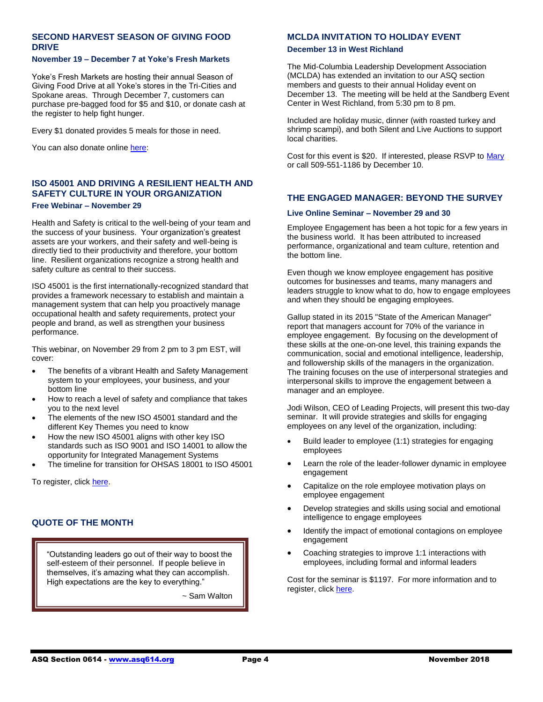#### **SECOND HARVEST SEASON OF GIVING FOOD DRIVE**

#### **November 19 – December 7 at Yoke's Fresh Markets**

Yoke's Fresh Markets are hosting their annual Season of Giving Food Drive at all Yoke's stores in the Tri-Cities and Spokane areas. Through December 7, customers can purchase pre-bagged food for \$5 and \$10, or donate cash at the register to help fight hunger.

Every \$1 donated provides 5 meals for those in need.

You can also donate online [here:](https://2-harvest.ejoinme.org/MyPages/DonationPage_TCSeasonofGivingFoodDrive/tabid/568181/Default.aspx)

#### **ISO 45001 AND DRIVING A RESILIENT HEALTH AND SAFETY CULTURE IN YOUR ORGANIZATION Free Webinar – November 29**

Health and Safety is critical to the well-being of your team and the success of your business. Your organization's greatest assets are your workers, and their safety and well-being is directly tied to their productivity and therefore, your bottom line. Resilient organizations recognize a strong health and safety culture as central to their success.

ISO 45001 is the first internationally-recognized standard that provides a framework necessary to establish and maintain a management system that can help you proactively manage occupational health and safety requirements, protect your people and brand, as well as strengthen your business performance.

This webinar, on November 29 from 2 pm to 3 pm EST, will cover:

- The benefits of a vibrant Health and Safety Management system to your employees, your business, and your bottom line
- How to reach a level of safety and compliance that takes you to the next level
- The elements of the new ISO 45001 standard and the different Key Themes you need to know
- How the new ISO 45001 aligns with other key ISO standards such as ISO 9001 and ISO 14001 to allow the opportunity for Integrated Management Systems
- The timeline for transition for OHSAS 18001 to ISO 45001

To register, click [here.](https://cc.readytalk.com/registration/#/?meeting=sixo7qpv43cs&campaign=467eicb4eun2)

#### **QUOTE OF THE MONTH**

"Outstanding leaders go out of their way to boost the self-esteem of their personnel. If people believe in themselves, it's amazing what they can accomplish. High expectations are the key to everything."

~ Sam Walton

#### **MCLDA INVITATION TO HOLIDAY EVENT**

#### **December 13 in West Richland**

The Mid-Columbia Leadership Development Association (MCLDA) has extended an invitation to our ASQ section members and guests to their annual Holiday event on December 13. The meeting will be held at the Sandberg Event Center in West Richland, from 5:30 pm to 8 pm.

Included are holiday music, dinner (with roasted turkey and shrimp scampi), and both Silent and Live Auctions to support local charities.

Cost for this event is \$20. If interested, please RSVP t[o Mary](mailto:mary_c_davenport@rl.gov) or call 509-551-1186 by December 10.

#### **THE ENGAGED MANAGER: BEYOND THE SURVEY**

#### **Live Online Seminar – November 29 and 30**

Employee Engagement has been a hot topic for a few years in the business world. It has been attributed to increased performance, organizational and team culture, retention and the bottom line.

Even though we know employee engagement has positive outcomes for businesses and teams, many managers and leaders struggle to know what to do, how to engage employees and when they should be engaging employees.

Gallup stated in its 2015 "State of the American Manager" report that managers account for 70% of the variance in employee engagement. By focusing on the development of these skills at the one-on-one level, this training expands the communication, social and emotional intelligence, leadership, and followership skills of the managers in the organization. The training focuses on the use of interpersonal strategies and interpersonal skills to improve the engagement between a manager and an employee.

Jodi Wilson, CEO of Leading Projects, will present this two-day seminar. It will provide strategies and skills for engaging employees on any level of the organization, including:

- Build leader to employee (1:1) strategies for engaging employees
- Learn the role of the leader-follower dynamic in employee engagement
- Capitalize on the role employee motivation plays on employee engagement
- Develop strategies and skills using social and emotional intelligence to engage employees
- Identify the impact of emotional contagions on employee engagement
- Coaching strategies to improve 1:1 interactions with employees, including formal and informal leaders

Cost for the seminar is \$1197. For more information and to register, click [here.](https://shoutout.wix.com/so/0cMRXpLJT?cid=fc518a16-11be-4a08-a570-07d48a366052®ion=f2658c01-8cc4-4f59-61bf-4a9ad9751db0#/main)